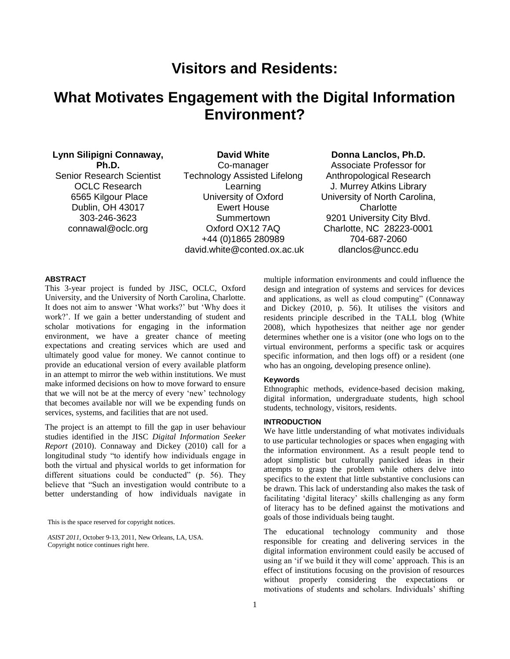# **Visitors and Residents:**

# **What Motivates Engagement with the Digital Information Environment?**

# **Lynn Silipigni Connaway, Ph.D.**

Senior Research Scientist OCLC Research 6565 Kilgour Place Dublin, OH 43017 303-246-3623 connawal@oclc.org

**David White** Co-manager Technology Assisted Lifelong Learning University of Oxford Ewert House Summertown Oxford OX12 7AQ +44 (0)1865 280989 david.white@conted.ox.ac.uk

# **Donna Lanclos, Ph.D.**

Associate Professor for Anthropological Research J. Murrey Atkins Library University of North Carolina, **Charlotte** 9201 University City Blvd. Charlotte, NC 28223-0001 704-687-2060 dlanclos@uncc.edu

### **ABSTRACT**

This 3-year project is funded by JISC, OCLC, Oxford University, and the University of North Carolina, Charlotte. It does not aim to answer ‗What works?' but ‗Why does it work?'. If we gain a better understanding of student and scholar motivations for engaging in the information environment, we have a greater chance of meeting expectations and creating services which are used and ultimately good value for money. We cannot continue to provide an educational version of every available platform in an attempt to mirror the web within institutions. We must make informed decisions on how to move forward to ensure that we will not be at the mercy of every 'new' technology that becomes available nor will we be expending funds on services, systems, and facilities that are not used.

The project is an attempt to fill the gap in user behaviour studies identified in the JISC *Digital Information Seeker Report* (2010). Connaway and Dickey (2010) call for a longitudinal study "to identify how individuals engage in both the virtual and physical worlds to get information for different situations could be conducted" (p. 56). They believe that "Such an investigation would contribute to a better understanding of how individuals navigate in

This is the space reserved for copyright notices.

*ASIST 2011,* October 9-13, 2011, New Orleans, LA, USA. Copyright notice continues right here.

multiple information environments and could influence the design and integration of systems and services for devices and applications, as well as cloud computing" (Connaway and Dickey (2010, p. 56). It utilises the visitors and residents principle described in the TALL blog (White 2008), which hypothesizes that neither age nor gender determines whether one is a visitor (one who logs on to the virtual environment, performs a specific task or acquires specific information, and then logs off) or a resident (one who has an ongoing, developing presence online).

# **Keywords**

Ethnographic methods, evidence-based decision making, digital information, undergraduate students, high school students, technology, visitors, residents.

#### **INTRODUCTION**

We have little understanding of what motivates individuals to use particular technologies or spaces when engaging with the information environment. As a result people tend to adopt simplistic but culturally panicked ideas in their attempts to grasp the problem while others delve into specifics to the extent that little substantive conclusions can be drawn. This lack of understanding also makes the task of facilitating 'digital literacy' skills challenging as any form of literacy has to be defined against the motivations and goals of those individuals being taught.

The educational technology community and those responsible for creating and delivering services in the digital information environment could easily be accused of using an 'if we build it they will come' approach. This is an effect of institutions focusing on the provision of resources without properly considering the expectations or motivations of students and scholars. Individuals' shifting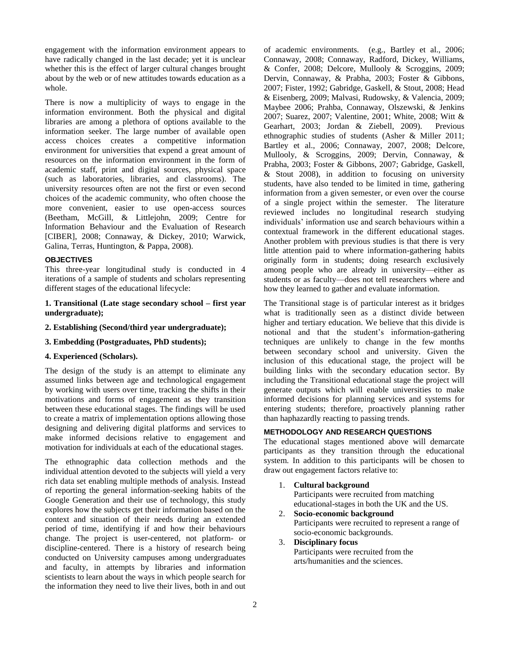engagement with the information environment appears to have radically changed in the last decade; yet it is unclear whether this is the effect of larger cultural changes brought about by the web or of new attitudes towards education as a whole.

There is now a multiplicity of ways to engage in the information environment. Both the physical and digital libraries are among a plethora of options available to the information seeker. The large number of available open access choices creates a competitive information environment for universities that expend a great amount of resources on the information environment in the form of academic staff, print and digital sources, physical space (such as laboratories, libraries, and classrooms). The university resources often are not the first or even second choices of the academic community, who often choose the more convenient, easier to use open-access sources (Beetham, McGill, & Littlejohn, 2009; Centre for Information Behaviour and the Evaluation of Research [CIBER], 2008; Connaway, & Dickey, 2010; Warwick, Galina, Terras, Huntington, & Pappa, 2008).

## **OBJECTIVES**

This three-year longitudinal study is conducted in 4 iterations of a sample of students and scholars representing different stages of the educational lifecycle:

## **1. Transitional (Late stage secondary school – first year undergraduate);**

**2. Establishing (Second/third year undergraduate);** 

## **3. Embedding (Postgraduates, PhD students);**

# **4. Experienced (Scholars).**

The design of the study is an attempt to eliminate any assumed links between age and technological engagement by working with users over time, tracking the shifts in their motivations and forms of engagement as they transition between these educational stages. The findings will be used to create a matrix of implementation options allowing those designing and delivering digital platforms and services to make informed decisions relative to engagement and motivation for individuals at each of the educational stages.

The ethnographic data collection methods and the individual attention devoted to the subjects will yield a very rich data set enabling multiple methods of analysis. Instead of reporting the general information-seeking habits of the Google Generation and their use of technology, this study explores how the subjects get their information based on the context and situation of their needs during an extended period of time, identifying if and how their behaviours change. The project is user-centered, not platform- or discipline-centered. There is a history of research being conducted on University campuses among undergraduates and faculty, in attempts by libraries and information scientists to learn about the ways in which people search for the information they need to live their lives, both in and out of academic environments. (e.g., Bartley et al., 2006; Connaway, 2008; Connaway, Radford, Dickey, Williams, & Confer, 2008; Delcore, Mullooly & Scroggins, 2009; Dervin, Connaway, & Prabha, 2003; Foster & Gibbons, 2007; Fister, 1992; Gabridge, Gaskell, & Stout, 2008; Head & Eisenberg, 2009; Malvasi, Rudowsky, & Valencia, 2009; Maybee 2006; Prahba, Connaway, Olszewski, & Jenkins 2007; Suarez, 2007; Valentine, 2001; White, 2008; Witt & Gearhart, 2003; Jordan & Ziebell, 2009). Previous ethnographic studies of students (Asher & Miller 2011; Bartley et al., 2006; Connaway, 2007, 2008; Delcore, Mullooly, & Scroggins, 2009; Dervin, Connaway, & Prabha, 2003; Foster & Gibbons, 2007; Gabridge, Gaskell, & Stout 2008), in addition to focusing on university students, have also tended to be limited in time, gathering information from a given semester, or even over the course of a single project within the semester. The literature reviewed includes no longitudinal research studying individuals' information use and search behaviours within a contextual framework in the different educational stages. Another problem with previous studies is that there is very little attention paid to where information-gathering habits originally form in students; doing research exclusively among people who are already in university—either as students or as faculty—does not tell researchers where and how they learned to gather and evaluate information.

The Transitional stage is of particular interest as it bridges what is traditionally seen as a distinct divide between higher and tertiary education. We believe that this divide is notional and that the student's information-gathering techniques are unlikely to change in the few months between secondary school and university. Given the inclusion of this educational stage, the project will be building links with the secondary education sector. By including the Transitional educational stage the project will generate outputs which will enable universities to make informed decisions for planning services and systems for entering students; therefore, proactively planning rather than haphazardly reacting to passing trends.

# **METHODOLOGY AND RESEARCH QUESTIONS**

The educational stages mentioned above will demarcate participants as they transition through the educational system. In addition to this participants will be chosen to draw out engagement factors relative to:

1. **Cultural background**

Participants were recruited from matching educational-stages in both the UK and the US.

- 2. **Socio-economic background** Participants were recruited to represent a range of socio-economic backgrounds.
- 3. **Disciplinary focus** Participants were recruited from the arts/humanities and the sciences.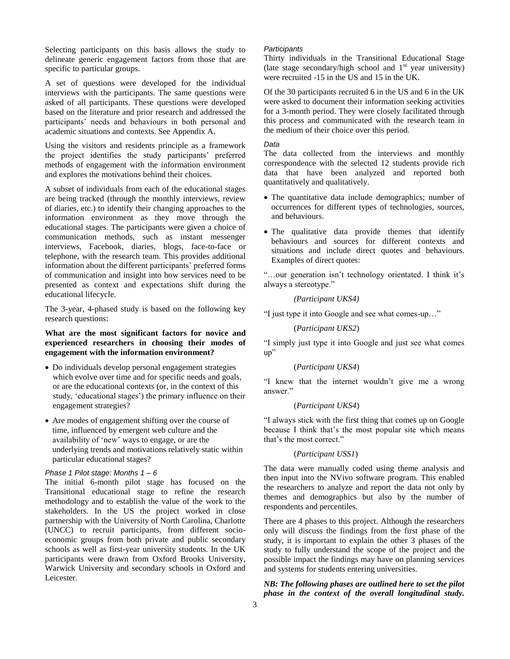Selecting participants on this basis allows the study to delineate generic engagement factors from those that are specific to particular groups.

A set of questions were developed for the individual interviews with the participants. The same questions were asked of all participants. These questions were developed based on the literature and prior research and addressed the participants' needs and behaviours in both personal and academic situations and contexts. See Appendix A.

Using the visitors and residents principle as a framework the project identifies the study participants' preferred methods of engagement with the information environment and explores the motivations behind their choices.

A subset of individuals from each of the educational stages are being tracked (through the monthly interviews, review of diaries, etc.) to identify their changing approaches to the information environment as they move through the educational stages. The participants were given a choice of communication methods, such as instant messenger interviews, Facebook, diaries, blogs, face-to-face or telephone, with the research team. This provides additional information about the different participants' preferred forms of communication and insight into how services need to be presented as context and expectations shift during the educational lifecycle.

The 3-year, 4-phased study is based on the following key research questions:

# **What are the most significant factors for novice and experienced researchers in choosing their modes of engagement with the information environment?**

- Do individuals develop personal engagement strategies which evolve over time and for specific needs and goals, or are the educational contexts (or, in the context of this study, 'educational stages') the primary influence on their engagement strategies?
- Are modes of engagement shifting over the course of time, influenced by emergent web culture and the availability of 'new' ways to engage, or are the underlying trends and motivations relatively static within particular educational stages?

## *Phase 1 Pilot stage: Months 1 – 6*

The initial 6-month pilot stage has focused on the Transitional educational stage to refine the research methodology and to establish the value of the work to the stakeholders. In the US the project worked in close partnership with the University of North Carolina, Charlotte (UNCC) to recruit participants, from different socioeconomic groups from both private and public secondary schools as well as first-year university students. In the UK participants were drawn from Oxford Brooks University, Warwick University and secondary schools in Oxford and Leicester.

#### *Participants*

Thirty individuals in the Transitional Educational Stage (late stage secondary/high school and  $1<sup>st</sup>$  year university) were recruited -15 in the US and 15 in the UK.

Of the 30 participants recruited 6 in the US and 6 in the UK were asked to document their information seeking activities for a 3-month period. They were closely facilitated through this process and communicated with the research team in the medium of their choice over this period.

## *Data*

The data collected from the interviews and monthly correspondence with the selected 12 students provide rich data that have been analyzed and reported both quantitatively and qualitatively.

- The quantitative data include demographics; number of occurrences for different types of technologies, sources, and behaviours.
- The qualitative data provide themes that identify behaviours and sources for different contexts and situations and include direct quotes and behaviours. Examples of direct quotes:

―…our generation isn't technology orientated. I think it's always a stereotype."

### *(Participant UKS4)*

"I just type it into Google and see what comes-up..."

(*Participant UKS2*)

―I simply just type it into Google and just see what comes  $up$ "

#### (*Participant UKS4*)

"I knew that the internet wouldn't give me a wrong answer.'

#### (*Participant UKS4*)

"I always stick with the first thing that comes up on Google because I think that's the most popular site which means that's the most correct."

#### (*Participant USS1*)

The data were manually coded using theme analysis and then input into the NVivo software program. This enabled the researchers to analyze and report the data not only by themes and demographics but also by the number of respondents and percentiles.

There are 4 phases to this project. Although the researchers only will discuss the findings from the first phase of the study, it is important to explain the other 3 phases of the study to fully understand the scope of the project and the possible impact the findings may have on planning services and systems for students entering universities.

## *NB: The following phases are outlined here to set the pilot phase in the context of the overall longitudinal study.*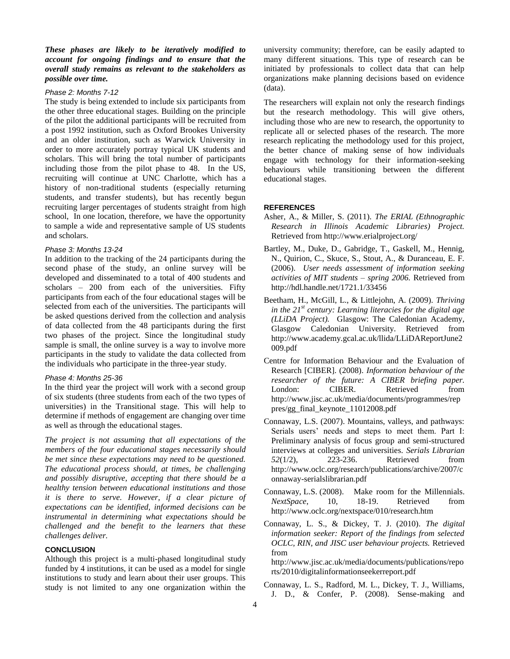*These phases are likely to be iteratively modified to account for ongoing findings and to ensure that the overall study remains as relevant to the stakeholders as possible over time.* 

#### *Phase 2: Months 7-12*

The study is being extended to include six participants from the other three educational stages. Building on the principle of the pilot the additional participants will be recruited from a post 1992 institution, such as Oxford Brookes University and an older institution, such as Warwick University in order to more accurately portray typical UK students and scholars. This will bring the total number of participants including those from the pilot phase to 48. In the US, recruiting will continue at UNC Charlotte, which has a history of non-traditional students (especially returning students, and transfer students), but has recently begun recruiting larger percentages of students straight from high school, In one location, therefore, we have the opportunity to sample a wide and representative sample of US students and scholars.

#### *Phase 3: Months 13-24*

In addition to the tracking of the 24 participants during the second phase of the study, an online survey will be developed and disseminated to a total of 400 students and scholars – 200 from each of the universities. Fifty participants from each of the four educational stages will be selected from each of the universities. The participants will be asked questions derived from the collection and analysis of data collected from the 48 participants during the first two phases of the project. Since the longitudinal study sample is small, the online survey is a way to involve more participants in the study to validate the data collected from the individuals who participate in the three-year study.

#### *Phase 4: Months 25-36*

In the third year the project will work with a second group of six students (three students from each of the two types of universities) in the Transitional stage. This will help to determine if methods of engagement are changing over time as well as through the educational stages.

*The project is not assuming that all expectations of the members of the four educational stages necessarily should be met since these expectations may need to be questioned. The educational process should, at times, be challenging and possibly disruptive, accepting that there should be a healthy tension between educational institutions and those it is there to serve. However, if a clear picture of expectations can be identified, informed decisions can be instrumental in determining what expectations should be challenged and the benefit to the learners that these challenges deliver.* 

# **CONCLUSION**

Although this project is a multi-phased longitudinal study funded by 4 institutions, it can be used as a model for single institutions to study and learn about their user groups. This study is not limited to any one organization within the university community; therefore, can be easily adapted to many different situations. This type of research can be initiated by professionals to collect data that can help organizations make planning decisions based on evidence (data).

The researchers will explain not only the research findings but the research methodology. This will give others, including those who are new to research, the opportunity to replicate all or selected phases of the research. The more research replicating the methodology used for this project, the better chance of making sense of how individuals engage with technology for their information-seeking behaviours while transitioning between the different educational stages.

## **REFERENCES**

- Asher, A., & Miller, S. (2011). *The ERIAL (Ethnographic Research in Illinois Academic Libraries) Project.* Retrieved from http://www.erialproject.org/
- Bartley, M., Duke, D., Gabridge, T., Gaskell, M., Hennig, N., Quirion, C., Skuce, S., Stout, A., & Duranceau, E. F. (2006). *User needs assessment of information seeking activities of MIT students – spring 2006.* Retrieved from http://hdl.handle.net/1721.1/33456
- Beetham, H., McGill, L., & Littlejohn, A. (2009). *Thriving in the 21st century: Learning literacies for the digital age (LLiDA Project).* Glasgow: The Caledonian Academy, Glasgow Caledonian University. Retrieved from http://www.academy.gcal.ac.uk/llida/LLiDAReportJune2 009.pdf
- Centre for Information Behaviour and the Evaluation of Research [CIBER]. (2008). *Information behaviour of the researcher of the future: A CIBER briefing paper.*  London: CIBER. Retrieved from http://www.jisc.ac.uk/media/documents/programmes/rep pres/gg\_final\_keynote\_11012008.pdf
- Connaway, L.S. (2007). Mountains, valleys, and pathways: Serials users' needs and steps to meet them. Part I: Preliminary analysis of focus group and semi-structured interviews at colleges and universities. *Serials Librarian 52*(1/2), 223-236. Retrieved from http://www.oclc.org/research/publications/archive/2007/c onnaway-serialslibrarian.pdf
- Connaway, L.S. (2008). Make room for the Millennials. *NextSpace*, 10, 18-19. Retrieved from http://www.oclc.org/nextspace/010/research.htm
- Connaway, L. S., & Dickey, T. J. (2010). *The digital information seeker: Report of the findings from selected OCLC, RIN, and JISC user behaviour projects.* Retrieved from
	- http://www.jisc.ac.uk/media/documents/publications/repo rts/2010/digitalinformationseekerreport.pdf
- Connaway, L. S., Radford, M. L., Dickey, T. J., Williams, J. D., & Confer, P. (2008). Sense-making and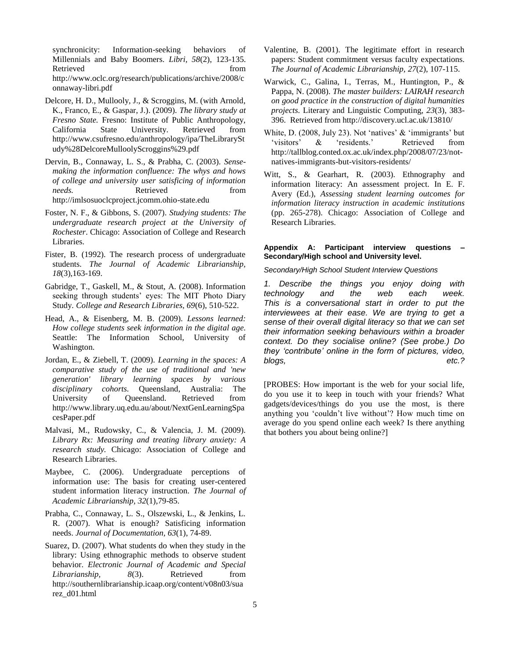synchronicity: Information-seeking behaviors of Millennials and Baby Boomers. *Libri, 58*(2), 123-135. Retrieved from  $\sim$ http://www.oclc.org/research/publications/archive/2008/c onnaway-libri.pdf

- Delcore, H. D., Mullooly, J., & Scroggins, M. (with Arnold, K., Franco, E., & Gaspar, J.). (2009). *The library study at Fresno State.* Fresno: Institute of Public Anthropology, California State University. Retrieved from http://www.csufresno.edu/anthropology/ipa/TheLibrarySt udy%28DelcoreMulloolyScroggins%29.pdf
- Dervin, B., Connaway, L. S., & Prabha, C. (2003). *Sensemaking the information confluence: The whys and hows of college and university user satisficing of information needs.* Retrieved from http://imlsosuoclcproject.jcomm.ohio-state.edu
- Foster, N. F., & Gibbons, S. (2007). *Studying students: The undergraduate research project at the University of Rochester*. Chicago: Association of College and Research Libraries.
- Fister, B. (1992). The research process of undergraduate students. *The Journal of Academic Librarianship, 18*(3),163-169.
- Gabridge, T., Gaskell, M., & Stout, A. (2008). Information seeking through students' eyes: The MIT Photo Diary Study. *College and Research Libraries, 69*(6), 510-522.
- Head, A., & Eisenberg, M. B. (2009). *Lessons learned: How college students seek information in the digital age.* Seattle: The Information School, University of Washington.
- Jordan, E., & Ziebell, T. (2009). *Learning in the spaces: A comparative study of the use of traditional and 'new generation' library learning spaces by various disciplinary cohorts.* Queensland, Australia: The University of Queensland. Retrieved from http://www.library.uq.edu.au/about/NextGenLearningSpa cesPaper.pdf
- Malvasi, M., Rudowsky, C., & Valencia, J. M. (2009). *Library Rx: Measuring and treating library anxiety: A research study.* Chicago: Association of College and Research Libraries.
- Maybee, C. (2006). Undergraduate perceptions of information use: The basis for creating user-centered student information literacy instruction. *The Journal of Academic Librarianship, 32*(1),79-85.
- Prabha, C., Connaway, L. S., Olszewski, L., & Jenkins, L. R. (2007). What is enough? Satisficing information needs. *Journal of Documentation, 63*(1), 74-89.
- Suarez, D. (2007). What students do when they study in the library: Using ethnographic methods to observe student behavior. *Electronic Journal of Academic and Special Librarianship*,  $8(3)$ . Retrieved from http://southernlibrarianship.icaap.org/content/v08n03/sua rez\_d01.html
- Valentine, B. (2001). The legitimate effort in research papers: Student commitment versus faculty expectations. *The Journal of Academic Librarianship, 27*(2), 107-115.
- Warwick, C., Galina, I., Terras, M., Huntington, P., & Pappa, N. (2008). *The master builders: LAIRAH research on good practice in the construction of digital humanities projects.* Literary and Linguistic Computing, *23*(3), 383- 396. Retrieved from http://discovery.ucl.ac.uk/13810/
- White, D. (2008, July 23). Not 'natives'  $&$  'immigrants' but 'visitors' & 'residents.' Retrieved from http://tallblog.conted.ox.ac.uk/index.php/2008/07/23/notnatives-immigrants-but-visitors-residents/
- Witt, S., & Gearhart, R. (2003). Ethnography and information literacy: An assessment project. In E. F. Avery (Ed.), *Assessing student learning outcomes for information literacy instruction in academic institutions* (pp. 265-278). Chicago: Association of College and Research Libraries.

#### **Appendix A: Participant interview questions – Secondary/High school and University level.**

*Secondary/High School Student Interview Questions*

*1. Describe the things you enjoy doing with technology and the web each week. This is a conversational start in order to put the interviewees at their ease. We are trying to get a sense of their overall digital literacy so that we can set their information seeking behaviours within a broader context. Do they socialise online? (See probe.) Do they 'contribute' online in the form of pictures, video, blogs, etc.?*

[PROBES: How important is the web for your social life, do you use it to keep in touch with your friends? What gadgets/devices/things do you use the most, is there anything you 'couldn't live without'? How much time on average do you spend online each week? Is there anything that bothers you about being online?]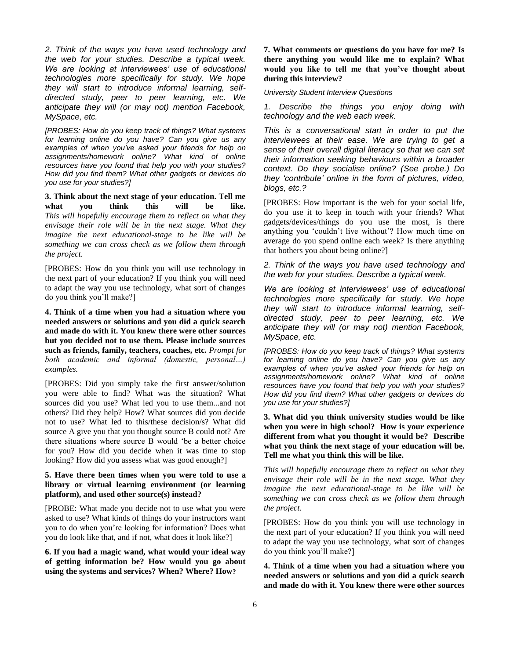*2. Think of the ways you have used technology and the web for your studies. Describe a typical week. We are looking at interviewees' use of educational technologies more specifically for study. We hope they will start to introduce informal learning, selfdirected study, peer to peer learning, etc. We anticipate they will (or may not) mention Facebook, MySpace, etc.*

*[PROBES: How do you keep track of things? What systems for learning online do you have? Can you give us any examples of when you've asked your friends for help on assignments/homework online? What kind of online resources have you found that help you with your studies? How did you find them? What other gadgets or devices do you use for your studies?]*

**3. Think about the next stage of your education. Tell me what you think this will be like.** *This will hopefully encourage them to reflect on what they envisage their role will be in the next stage. What they imagine the next educational-stage to be like will be something we can cross check as we follow them through the project.*

[PROBES: How do you think you will use technology in the next part of your education? If you think you will need to adapt the way you use technology, what sort of changes do you think you'll make?]

**4. Think of a time when you had a situation where you needed answers or solutions and you did a quick search and made do with it. You knew there were other sources but you decided not to use them. Please include sources such as friends, family, teachers, coaches, etc.** *Prompt for both academic and informal (domestic, personal…) examples.* 

[PROBES: Did you simply take the first answer/solution you were able to find? What was the situation? What sources did you use? What led you to use them...and not others? Did they help? How? What sources did you decide not to use? What led to this/these decision/s? What did source A give you that you thought source B could not? Are there situations where source B would 'be a better choice for you? How did you decide when it was time to stop looking? How did you assess what was good enough?]

## **5. Have there been times when you were told to use a library or virtual learning environment (or learning platform), and used other source(s) instead?**

[PROBE: What made you decide not to use what you were asked to use? What kinds of things do your instructors want you to do when you're looking for information? Does what you do look like that, and if not, what does it look like?]

**6. If you had a magic wand, what would your ideal way of getting information be? How would you go about using the systems and services? When? Where? How?**

# **7. What comments or questions do you have for me? Is there anything you would like me to explain? What would you like to tell me that you've thought about during this interview?**

*University Student Interview Questions*

*1. Describe the things you enjoy doing with technology and the web each week.*

*This is a conversational start in order to put the interviewees at their ease. We are trying to get a sense of their overall digital literacy so that we can set their information seeking behaviours within a broader context. Do they socialise online? (See probe.) Do they 'contribute' online in the form of pictures, video, blogs, etc.?*

[PROBES: How important is the web for your social life, do you use it to keep in touch with your friends? What gadgets/devices/things do you use the most, is there anything you 'couldn't live without'? How much time on average do you spend online each week? Is there anything that bothers you about being online?]

*2. Think of the ways you have used technology and the web for your studies. Describe a typical week.*

*We are looking at interviewees' use of educational technologies more specifically for study. We hope they will start to introduce informal learning, selfdirected study, peer to peer learning, etc. We anticipate they will (or may not) mention Facebook, MySpace, etc.*

*[PROBES: How do you keep track of things? What systems for learning online do you have? Can you give us any examples of when you've asked your friends for help on assignments/homework online? What kind of online resources have you found that help you with your studies? How did you find them? What other gadgets or devices do you use for your studies?]*

# **3. What did you think university studies would be like when you were in high school? How is your experience different from what you thought it would be? Describe what you think the next stage of your education will be. Tell me what you think this will be like.**

*This will hopefully encourage them to reflect on what they envisage their role will be in the next stage. What they imagine the next educational-stage to be like will be something we can cross check as we follow them through the project.*

[PROBES: How do you think you will use technology in the next part of your education? If you think you will need to adapt the way you use technology, what sort of changes do you think you'll make?]

**4. Think of a time when you had a situation where you needed answers or solutions and you did a quick search and made do with it. You knew there were other sources**